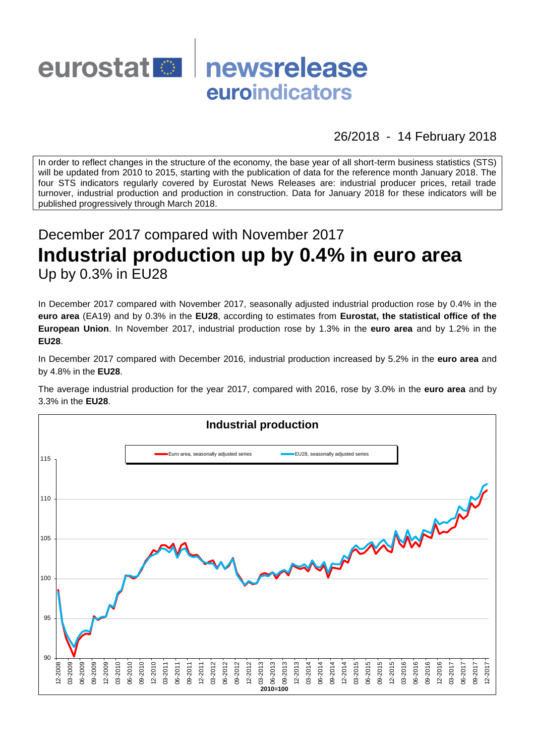

26/2018 - 14 February 2018

In order to reflect changes in the structure of the economy, the base year of all short-term business statistics (STS) will be updated from 2010 to 2015, starting with the publication of data for the reference month January 2018. The four STS indicators regularly covered by Eurostat News Releases are: industrial producer prices, retail trade turnover, industrial production and production in construction. Data for January 2018 for these indicators will be published progressively through March 2018.

# December 2017 compared with November 2017 **Industrial production up by 0.4% in euro area** Up by 0.3% in EU28

In December 2017 compared with November 2017, seasonally adjusted industrial production rose by 0.4% in the **euro area** (EA19) and by 0.3% in the **EU28**, according to estimates from **Eurostat, the statistical office of the European Union**. In November 2017, industrial production rose by 1.3% in the **euro area** and by 1.2% in the **EU28**.

In December 2017 compared with December 2016, industrial production increased by 5.2% in the **euro area** and by 4.8% in the **EU28**.

The average industrial production for the year 2017, compared with 2016, rose by 3.0% in the **euro area** and by 3.3% in the **EU28**.

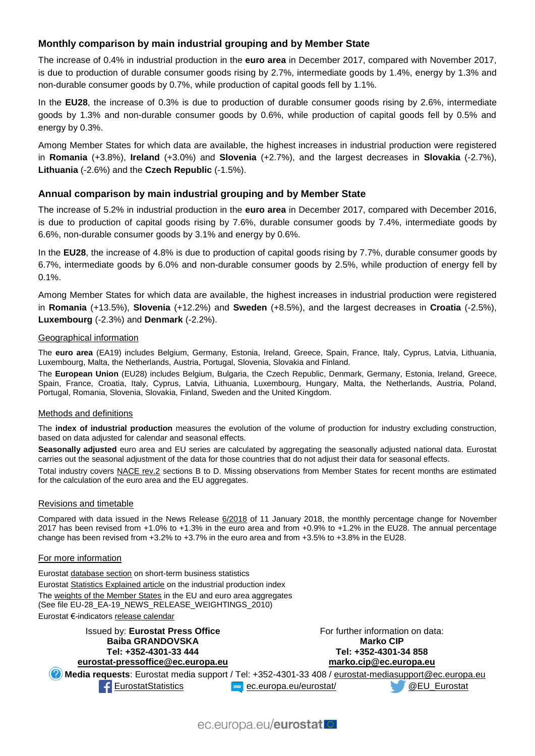# **Monthly comparison by main industrial grouping and by Member State**

The increase of 0.4% in industrial production in the **euro area** in December 2017, compared with November 2017, is due to production of durable consumer goods rising by 2.7%, intermediate goods by 1.4%, energy by 1.3% and non-durable consumer goods by 0.7%, while production of capital goods fell by 1.1%.

In the **EU28**, the increase of 0.3% is due to production of durable consumer goods rising by 2.6%, intermediate goods by 1.3% and non-durable consumer goods by 0.6%, while production of capital goods fell by 0.5% and energy by 0.3%.

Among Member States for which data are available, the highest increases in industrial production were registered in **Romania** (+3.8%), **Ireland** (+3.0%) and **Slovenia** (+2.7%), and the largest decreases in **Slovakia** (-2.7%), **Lithuania** (-2.6%) and the **Czech Republic** (-1.5%).

## **Annual comparison by main industrial grouping and by Member State**

The increase of 5.2% in industrial production in the **euro area** in December 2017, compared with December 2016, is due to production of capital goods rising by 7.6%, durable consumer goods by 7.4%, intermediate goods by 6.6%, non-durable consumer goods by 3.1% and energy by 0.6%.

In the **EU28**, the increase of 4.8% is due to production of capital goods rising by 7.7%, durable consumer goods by 6.7%, intermediate goods by 6.0% and non-durable consumer goods by 2.5%, while production of energy fell by 0.1%.

Among Member States for which data are available, the highest increases in industrial production were registered in **Romania** (+13.5%), **Slovenia** (+12.2%) and **Sweden** (+8.5%), and the largest decreases in **Croatia** (-2.5%), **Luxembourg** (-2.3%) and **Denmark** (-2.2%).

#### Geographical information

The **euro area** (EA19) includes Belgium, Germany, Estonia, Ireland, Greece, Spain, France, Italy, Cyprus, Latvia, Lithuania, Luxembourg, Malta, the Netherlands, Austria, Portugal, Slovenia, Slovakia and Finland.

The **European Union** (EU28) includes Belgium, Bulgaria, the Czech Republic, Denmark, Germany, Estonia, Ireland, Greece, Spain, France, Croatia, Italy, Cyprus, Latvia, Lithuania, Luxembourg, Hungary, Malta, the Netherlands, Austria, Poland, Portugal, Romania, Slovenia, Slovakia, Finland, Sweden and the United Kingdom.

#### Methods and definitions

The **index of industrial production** measures the evolution of the volume of production for industry excluding construction, based on data adjusted for calendar and seasonal effects.

**Seasonally adjusted** euro area and EU series are calculated by aggregating the seasonally adjusted national data. Eurostat carries out the seasonal adjustment of the data for those countries that do not adjust their data for seasonal effects.

Total industry covers [NACE rev.2](http://ec.europa.eu/eurostat/ramon/nomenclatures/index.cfm?TargetUrl=LST_NOM_DTL&StrNom=NACE_REV2&StrLanguageCode=EN&IntPcKey=&StrLayoutCode=HIERARCHIC) sections B to D. Missing observations from Member States for recent months are estimated for the calculation of the euro area and the EU aggregates.

#### Revisions and timetable

Compared with data issued in the News Release [6/2018](http://ec.europa.eu/eurostat/documents/2995521/8578876/4-11012018-BP-EN.pdf/44a78418-0c7c-41d0-921f-2705816e185f) of 11 January 2018, the monthly percentage change for November 2017 has been revised from +1.0% to +1.3% in the euro area and from +0.9% to +1.2% in the EU28. The annual percentage change has been revised from +3.2% to +3.7% in the euro area and from +3.5% to +3.8% in the EU28.

#### For more information

Eurosta[t database section](http://ec.europa.eu/eurostat/web/short-term-business-statistics/data/database) on short-term business statistics Eurosta[t Statistics Explained article](http://ec.europa.eu/eurostat/statistics-explained/index.php/Industrial_production_(volume)_index_overview) on the industrial production index Th[e weights of the Member States](https://circabc.europa.eu/w/browse/5e6d1e48-056c-4c6a-8278-3ab138bcf575) in the EU and euro area aggregates (See file EU-28\_EA-19\_NEWS\_RELEASE\_WEIGHTINGS\_2010) Eurostat €-indicator[s release calendar](http://ec.europa.eu/eurostat/news/release-calendar)

Issued by: **Eurostat Press Office Baiba GRANDOVSKA Tel: +352-4301-33 444 [eurostat-pressoffice@ec.europa.eu](mailto:eurostat-pressoffice@ec.europa.eu)** For further information on data: **Marko CIP Tel: +352-4301-34 858 [marko.cip@ec.europa.eu](mailto:marko.cip@ec.europa.eu) Media requests**: Eurostat media support / Tel: +352-4301-33 408 / [eurostat-mediasupport@ec.europa.eu](mailto:eurostat-mediasupport@ec.europa.eu) [EurostatStatistics](http://www.facebook.com/EurostatStatistics) www.[ec.europa.eu/eurostat/](http://ec.europa.eu/eurostat/) [@EU\\_Eurostat](http://twitter.com/EU_Eurostat)

ec.europa.eu/eurostat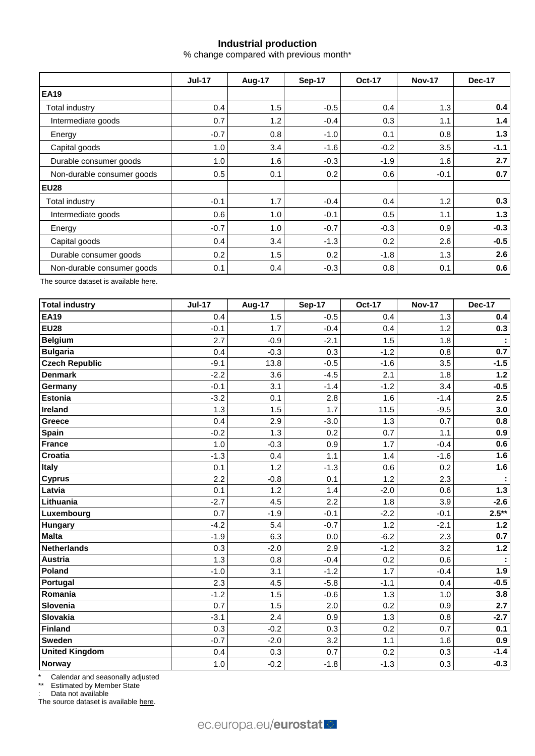# **Industrial production**

% change compared with previous month\*

|                            | <b>Jul-17</b> | Aug-17 | Sep-17 | <b>Oct-17</b> | <b>Nov-17</b> | <b>Dec-17</b> |  |
|----------------------------|---------------|--------|--------|---------------|---------------|---------------|--|
| <b>EA19</b>                |               |        |        |               |               |               |  |
| Total industry             | 0.4           | 1.5    | $-0.5$ | 0.4           | 1.3           | 0.4           |  |
| Intermediate goods         | 0.7           | 1.2    | $-0.4$ | 0.3           | 1.1           | 1.4           |  |
| Energy                     | $-0.7$        | 0.8    | $-1.0$ | 0.1           | 0.8           | 1.3           |  |
| Capital goods              | 1.0           | 3.4    | $-1.6$ | $-0.2$        | 3.5           | $-1.1$        |  |
| Durable consumer goods     | 1.0           | 1.6    | $-0.3$ | $-1.9$        | 1.6           | 2.7           |  |
| Non-durable consumer goods | 0.5           | 0.1    | 0.2    | 0.6           | $-0.1$        | 0.7           |  |
| <b>EU28</b>                |               |        |        |               |               |               |  |
| Total industry             | $-0.1$        | 1.7    | $-0.4$ | 0.4           | 1.2           | 0.3           |  |
| Intermediate goods         | 0.6           | 1.0    | $-0.1$ | 0.5           | 1.1           | 1.3           |  |
| Energy                     | $-0.7$        | 1.0    | $-0.7$ | $-0.3$        | 0.9           | $-0.3$        |  |
| Capital goods              | 0.4           | 3.4    | $-1.3$ | 0.2           | 2.6           | $-0.5$        |  |
| Durable consumer goods     | 0.2           | 1.5    | 0.2    | $-1.8$        | 1.3           | 2.6           |  |
| Non-durable consumer goods | 0.1           | 0.4    | $-0.3$ | 0.8           | 0.1           | 0.6           |  |

The source dataset is availabl[e here.](http://appsso.eurostat.ec.europa.eu/nui/show.do?query=BOOKMARK_DS-069583_QID_-53045BCF_UID_-3F171EB0&layout=TIME,C,X,0;GEO,L,Y,0;NACE_R2,L,Y,1;INDIC_BT,L,Z,0;S_ADJ,L,Z,1;UNIT,L,Z,2;INDICATORS,C,Z,3;&zSelection=DS-069583UNIT,PCH_PRE;DS-069583S_ADJ,SCA;DS-069583INDIC_BT,PROD;DS-069583INDICATORS,OBS_FLAG;&rankName1=UNIT_1_2_-1_2&rankName2=INDIC-BT_1_2_-1_2&rankName3=INDICATORS_1_2_-1_2&rankName4=S-ADJ_1_2_-1_2&rankName5=TIME_1_0_0_0&rankName6=GEO_1_0_0_1&rankName7=NACE-R2_1_2_1_1&sortR=ASC_-1_FIRST&sortC=ASC_-1_FIRST&rStp=&cStp=&rDCh=&cDCh=&rDM=true&cDM=true&footnes=false&empty=false&wai=false&time_mode=ROLLING&time_most_recent=true&lang=EN&cfo=%23%23%23%2C%23%23%23.%23%23%23)

| <b>Total industry</b> | <b>Jul-17</b> | Aug-17 | <b>Sep-17</b> | <b>Oct-17</b> | <b>Nov-17</b> | <b>Dec-17</b> |
|-----------------------|---------------|--------|---------------|---------------|---------------|---------------|
| <b>EA19</b>           | 0.4           | 1.5    | $-0.5$        | 0.4           | 1.3           | 0.4           |
| <b>EU28</b>           | $-0.1$        | 1.7    | $-0.4$        | 0.4           | 1.2           | 0.3           |
| <b>Belgium</b>        | 2.7           | $-0.9$ | $-2.1$        | 1.5           | 1.8           |               |
| <b>Bulgaria</b>       | 0.4           | $-0.3$ | 0.3           | $-1.2$        | 0.8           | 0.7           |
| <b>Czech Republic</b> | $-9.1$        | 13.8   | $-0.5$        | $-1.6$        | 3.5           | $-1.5$        |
| <b>Denmark</b>        | $-2.2$        | 3.6    | $-4.5$        | 2.1           | 1.8           | $1.2$         |
| Germany               | $-0.1$        | 3.1    | $-1.4$        | $-1.2$        | 3.4           | $-0.5$        |
| <b>Estonia</b>        | $-3.2$        | 0.1    | 2.8           | 1.6           | $-1.4$        | 2.5           |
| Ireland               | 1.3           | 1.5    | 1.7           | 11.5          | $-9.5$        | 3.0           |
| <b>Greece</b>         | 0.4           | 2.9    | $-3.0$        | 1.3           | 0.7           | 0.8           |
| Spain                 | $-0.2$        | 1.3    | 0.2           | 0.7           | 1.1           | 0.9           |
| <b>France</b>         | 1.0           | $-0.3$ | 0.9           | 1.7           | $-0.4$        | 0.6           |
| <b>Croatia</b>        | $-1.3$        | 0.4    | 1.1           | 1.4           | $-1.6$        | 1.6           |
| Italy                 | 0.1           | 1.2    | $-1.3$        | 0.6           | 0.2           | 1.6           |
| <b>Cyprus</b>         | 2.2           | $-0.8$ | 0.1           | 1.2           | 2.3           |               |
| Latvia                | 0.1           | 1.2    | 1.4           | $-2.0$        | 0.6           | $1.3$         |
| Lithuania             | $-2.7$        | 4.5    | 2.2           | 1.8           | 3.9           | $-2.6$        |
| Luxembourg            | 0.7           | $-1.9$ | $-0.1$        | $-2.2$        | $-0.1$        | $2.5***$      |
| Hungary               | $-4.2$        | 5.4    | $-0.7$        | 1.2           | $-2.1$        | $1.2$         |
| <b>Malta</b>          | $-1.9$        | 6.3    | 0.0           | $-6.2$        | 2.3           | 0.7           |
| <b>Netherlands</b>    | 0.3           | $-2.0$ | 2.9           | $-1.2$        | 3.2           | $1.2$         |
| <b>Austria</b>        | 1.3           | 0.8    | $-0.4$        | 0.2           | 0.6           |               |
| Poland                | $-1.0$        | 3.1    | $-1.2$        | 1.7           | $-0.4$        | 1.9           |
| Portugal              | 2.3           | 4.5    | $-5.8$        | $-1.1$        | 0.4           | $-0.5$        |
| Romania               | $-1.2$        | 1.5    | $-0.6$        | 1.3           | 1.0           | 3.8           |
| Slovenia              | 0.7           | 1.5    | 2.0           | 0.2           | 0.9           | 2.7           |
| <b>Slovakia</b>       | $-3.1$        | 2.4    | 0.9           | 1.3           | 0.8           | $-2.7$        |
| <b>Finland</b>        | 0.3           | $-0.2$ | 0.3           | 0.2           | 0.7           | 0.1           |
| Sweden                | $-0.7$        | $-2.0$ | 3.2           | 1.1           | 1.6           | 0.9           |
| <b>United Kingdom</b> | 0.4           | 0.3    | 0.7           | 0.2           | 0.3           | $-1.4$        |
| <b>Norway</b>         | 1.0           | $-0.2$ | $-1.8$        | $-1.3$        | 0.3           | $-0.3$        |

\* Calendar and seasonally adjusted

\*\* Estimated by Member State

: Data not available

The source dataset is available [here.](http://appsso.eurostat.ec.europa.eu/nui/show.do?query=BOOKMARK_DS-069583_QID_-3986CD57_UID_-3F171EB0&layout=TIME,C,X,0;GEO,L,Y,0;INDIC_BT,L,Z,0;S_ADJ,L,Z,1;UNIT,L,Z,2;NACE_R2,L,Z,3;INDICATORS,C,Z,4;&zSelection=DS-069583UNIT,PCH_PRE;DS-069583S_ADJ,SCA;DS-069583INDIC_BT,PROD;DS-069583INDICATORS,OBS_FLAG;DS-069583NACE_R2,B-D;&rankName1=UNIT_1_2_-1_2&rankName2=INDIC-BT_1_2_-1_2&rankName3=INDICATORS_1_2_-1_2&rankName4=S-ADJ_1_2_-1_2&rankName5=NACE-R2_1_2_-1_2&rankName6=TIME_1_0_0_0&rankName7=GEO_1_2_0_1&sortC=ASC_-1_FIRST&rStp=&cStp=&rDCh=&cDCh=&rDM=true&cDM=true&footnes=false&empty=false&wai=false&time_mode=ROLLING&time_most_recent=true&lang=EN&cfo=%23%23%23%2C%23%23%23.%23%23%23)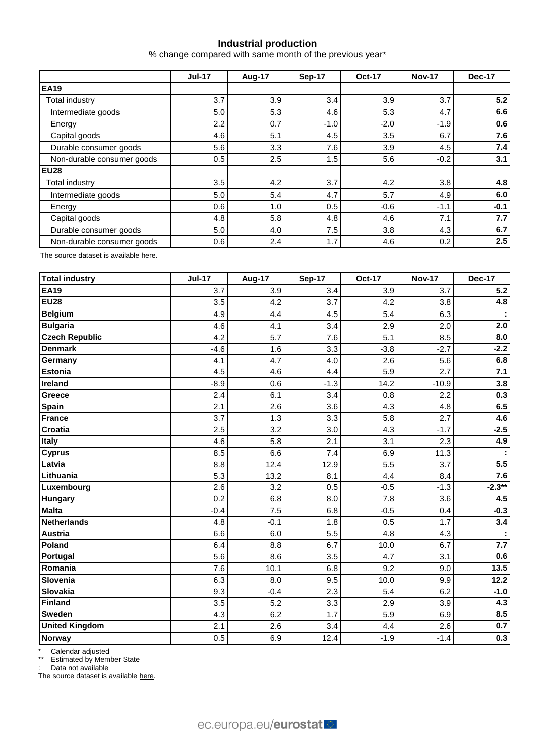# **Industrial production**

% change compared with same month of the previous year\*

|                            | <b>Jul-17</b> | Aug-17 | Sep-17 | <b>Oct-17</b> | <b>Nov-17</b> | Dec-17 |  |
|----------------------------|---------------|--------|--------|---------------|---------------|--------|--|
| <b>EA19</b>                |               |        |        |               |               |        |  |
| <b>Total industry</b>      | 3.7           | 3.9    | 3.4    | 3.9           | 3.7           | 5.2    |  |
| Intermediate goods         | 5.0           | 5.3    | 4.6    | 5.3           | 4.7           | 6.6    |  |
| Energy                     | 2.2           | 0.7    | $-1.0$ | $-2.0$        | $-1.9$        | 0.6    |  |
| Capital goods              | 4.6           | 5.1    | 4.5    | 3.5           | 6.7           | 7.6    |  |
| Durable consumer goods     | 5.6           | 3.3    | 7.6    | 3.9           | 4.5           | 7.4    |  |
| Non-durable consumer goods | 0.5           | 2.5    | 1.5    | 5.6           | $-0.2$        | 3.1    |  |
| <b>EU28</b>                |               |        |        |               |               |        |  |
| Total industry             | 3.5           | 4.2    | 3.7    | 4.2           | 3.8           | 4.8    |  |
| Intermediate goods         | 5.0           | 5.4    | 4.7    | 5.7           | 4.9           | 6.0    |  |
| Energy                     | 0.6           | 1.0    | 0.5    | $-0.6$        | $-1.1$        | $-0.1$ |  |
| Capital goods              | 4.8           | 5.8    | 4.8    | 4.6           | 7.1           | 7.7    |  |
| Durable consumer goods     | 5.0           | 4.0    | 7.5    | 3.8           | 4.3           | 6.7    |  |
| Non-durable consumer goods | 0.6           | 2.4    | 1.7    | 4.6           | 0.2           | 2.5    |  |

The source dataset is availabl[e here.](http://appsso.eurostat.ec.europa.eu/nui/show.do?query=BOOKMARK_DS-069583_QID_-628F3FF0_UID_-3F171EB0&layout=TIME,C,X,0;GEO,L,Y,0;NACE_R2,L,Y,1;INDIC_BT,L,Z,0;S_ADJ,L,Z,1;UNIT,L,Z,2;INDICATORS,C,Z,3;&zSelection=DS-069583UNIT,PCH_PRE;DS-069583S_ADJ,SCA;DS-069583INDIC_BT,PROD;DS-069583INDICATORS,OBS_FLAG;&rankName1=UNIT_1_2_-1_2&rankName2=INDIC-BT_1_2_-1_2&rankName3=INDICATORS_1_2_-1_2&rankName4=S-ADJ_1_2_-1_2&rankName5=TIME_1_0_0_0&rankName6=GEO_1_0_0_1&rankName7=NACE-R2_1_2_1_1&sortR=ASC_-1_FIRST&sortC=ASC_-1_FIRST&rStp=&cStp=&rDCh=&cDCh=&rDM=true&cDM=true&footnes=false&empty=false&wai=false&time_mode=ROLLING&time_most_recent=true&lang=EN&cfo=%23%23%23%2C%23%23%23.%23%23%23)

| <b>Total industry</b> | <b>Jul-17</b> | Aug-17 | <b>Sep-17</b> | <b>Oct-17</b> | <b>Nov-17</b> | <b>Dec-17</b> |
|-----------------------|---------------|--------|---------------|---------------|---------------|---------------|
| <b>EA19</b>           | 3.7           | 3.9    | 3.4           | 3.9           | 3.7           | 5.2           |
| <b>EU28</b>           | 3.5           | 4.2    | 3.7           | 4.2           | 3.8           | 4.8           |
| <b>Belgium</b>        | 4.9           | 4.4    | 4.5           | 5.4           | 6.3           |               |
| <b>Bulgaria</b>       | 4.6           | 4.1    | 3.4           | 2.9           | 2.0           | 2.0           |
| <b>Czech Republic</b> | 4.2           | 5.7    | 7.6           | 5.1           | 8.5           | 8.0           |
| <b>Denmark</b>        | $-4.6$        | 1.6    | 3.3           | $-3.8$        | $-2.7$        | $-2.2$        |
| Germany               | 4.1           | 4.7    | 4.0           | 2.6           | 5.6           | 6.8           |
| Estonia               | 4.5           | 4.6    | 4.4           | 5.9           | 2.7           | 7.1           |
| Ireland               | $-8.9$        | 0.6    | $-1.3$        | 14.2          | $-10.9$       | 3.8           |
| Greece                | 2.4           | 6.1    | 3.4           | 0.8           | 2.2           | 0.3           |
| Spain                 | 2.1           | 2.6    | 3.6           | 4.3           | 4.8           | 6.5           |
| <b>France</b>         | 3.7           | 1.3    | 3.3           | 5.8           | 2.7           | 4.6           |
| <b>Croatia</b>        | 2.5           | 3.2    | 3.0           | 4.3           | $-1.7$        | $-2.5$        |
| Italy                 | 4.6           | 5.8    | 2.1           | 3.1           | 2.3           | 4.9           |
| <b>Cyprus</b>         | 8.5           | 6.6    | 7.4           | 6.9           | 11.3          |               |
| Latvia                | 8.8           | 12.4   | 12.9          | 5.5           | 3.7           | 5.5           |
| Lithuania             | 5.3           | 13.2   | 8.1           | 4.4           | 8.4           | 7.6           |
| Luxembourg            | 2.6           | 3.2    | 0.5           | $-0.5$        | $-1.3$        | $-2.3**$      |
| Hungary               | 0.2           | 6.8    | 8.0           | 7.8           | 3.6           | 4.5           |
| <b>Malta</b>          | $-0.4$        | 7.5    | 6.8           | $-0.5$        | 0.4           | $-0.3$        |
| <b>Netherlands</b>    | 4.8           | $-0.1$ | 1.8           | 0.5           | 1.7           | 3.4           |
| <b>Austria</b>        | 6.6           | 6.0    | 5.5           | 4.8           | 4.3           | ÷             |
| Poland                | 6.4           | 8.8    | 6.7           | 10.0          | 6.7           | 7.7           |
| Portugal              | 5.6           | 8.6    | 3.5           | 4.7           | 3.1           | 0.6           |
| Romania               | 7.6           | 10.1   | 6.8           | 9.2           | 9.0           | 13.5          |
| Slovenia              | 6.3           | 8.0    | 9.5           | 10.0          | 9.9           | 12.2          |
| <b>Slovakia</b>       | 9.3           | $-0.4$ | 2.3           | 5.4           | 6.2           | $-1.0$        |
| <b>Finland</b>        | 3.5           | 5.2    | 3.3           | 2.9           | 3.9           | 4.3           |
| <b>Sweden</b>         | 4.3           | 6.2    | 1.7           | 5.9           | 6.9           | 8.5           |
| <b>United Kingdom</b> | 2.1           | 2.6    | 3.4           | 4.4           | 2.6           | 0.7           |
| Norway                | 0.5           | 6.9    | 12.4          | $-1.9$        | $-1.4$        | 0.3           |

\* Calendar adjusted

\*\* Estimated by Member State

: Data not available

The source dataset is available [here.](http://appsso.eurostat.ec.europa.eu/nui/show.do?query=BOOKMARK_DS-069583_QID_690FAA53_UID_-3F171EB0&layout=TIME,C,X,0;GEO,L,Y,0;NACE_R2,L,Y,1;INDIC_BT,L,Z,0;S_ADJ,L,Z,1;UNIT,L,Z,2;INDICATORS,C,Z,3;&zSelection=DS-069583UNIT,PCH_SM;DS-069583S_ADJ,CA;DS-069583INDIC_BT,PROD;DS-069583INDICATORS,OBS_FLAG;&rankName1=UNIT_1_2_-1_2&rankName2=INDIC-BT_1_2_-1_2&rankName3=INDICATORS_1_2_-1_2&rankName4=S-ADJ_1_2_-1_2&rankName5=TIME_1_0_0_0&rankName6=GEO_1_2_0_1&rankName7=NACE-R2_1_2_1_1&sortC=ASC_-1_FIRST&rStp=&cStp=&rDCh=&cDCh=&rDM=true&cDM=true&footnes=false&empty=false&wai=false&time_mode=ROLLING&time_most_recent=true&lang=EN&cfo=%23%23%23%2C%23%23%23.%23%23%23)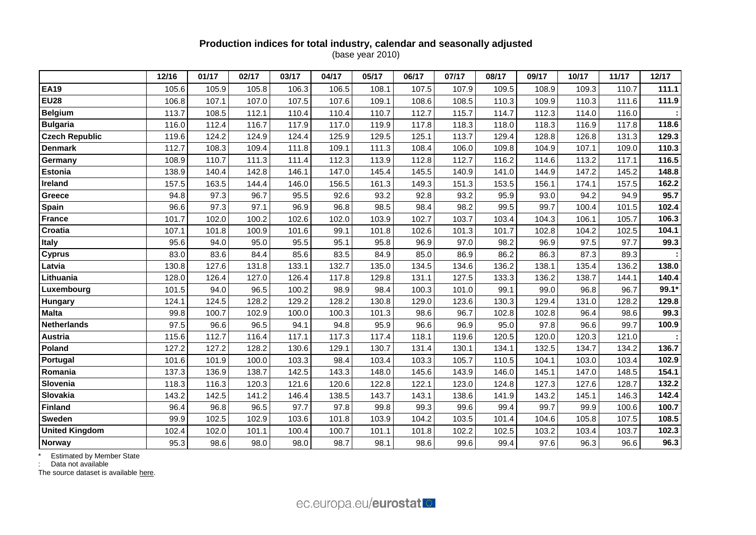## **Production indices for total industry, calendar and seasonally adjusted** (base year 2010)

|                       | 12/16 | 01/17 | 02/17 | 03/17 | 04/17 | 05/17 | 06/17 | 07/17 | 08/17 | 09/17 | 10/17 | 11/17 | 12/17 |
|-----------------------|-------|-------|-------|-------|-------|-------|-------|-------|-------|-------|-------|-------|-------|
| <b>EA19</b>           | 105.6 | 105.9 | 105.8 | 106.3 | 106.5 | 108.1 | 107.5 | 107.9 | 109.5 | 108.9 | 109.3 | 110.7 | 111.1 |
| <b>EU28</b>           | 106.8 | 107.1 | 107.0 | 107.5 | 107.6 | 109.1 | 108.6 | 108.5 | 110.3 | 109.9 | 110.3 | 111.6 | 111.9 |
| <b>Belgium</b>        | 113.7 | 108.5 | 112.1 | 110.4 | 110.4 | 110.7 | 112.7 | 115.7 | 114.7 | 112.3 | 114.0 | 116.0 |       |
| <b>Bulgaria</b>       | 116.0 | 112.4 | 116.7 | 117.9 | 117.0 | 119.9 | 117.8 | 118.3 | 118.0 | 118.3 | 116.9 | 117.8 | 118.6 |
| <b>Czech Republic</b> | 119.6 | 124.2 | 124.9 | 124.4 | 125.9 | 129.5 | 125.1 | 113.7 | 129.4 | 128.8 | 126.8 | 131.3 | 129.3 |
| <b>Denmark</b>        | 112.7 | 108.3 | 109.4 | 111.8 | 109.1 | 111.3 | 108.4 | 106.0 | 109.8 | 104.9 | 107.1 | 109.0 | 110.3 |
| Germany               | 108.9 | 110.7 | 111.3 | 111.4 | 112.3 | 113.9 | 112.8 | 112.7 | 116.2 | 114.6 | 113.2 | 117.1 | 116.5 |
| <b>Estonia</b>        | 138.9 | 140.4 | 142.8 | 146.1 | 147.0 | 145.4 | 145.5 | 140.9 | 141.0 | 144.9 | 147.2 | 145.2 | 148.8 |
| Ireland               | 157.5 | 163.5 | 144.4 | 146.0 | 156.5 | 161.3 | 149.3 | 151.3 | 153.5 | 156.1 | 174.1 | 157.5 | 162.2 |
| Greece                | 94.8  | 97.3  | 96.7  | 95.5  | 92.6  | 93.2  | 92.8  | 93.2  | 95.9  | 93.0  | 94.2  | 94.9  | 95.7  |
| Spain                 | 96.6  | 97.3  | 97.1  | 96.9  | 96.8  | 98.5  | 98.4  | 98.2  | 99.5  | 99.7  | 100.4 | 101.5 | 102.4 |
| <b>France</b>         | 101.7 | 102.0 | 100.2 | 102.6 | 102.0 | 103.9 | 102.7 | 103.7 | 103.4 | 104.3 | 106.1 | 105.7 | 106.3 |
| Croatia               | 107.1 | 101.8 | 100.9 | 101.6 | 99.1  | 101.8 | 102.6 | 101.3 | 101.7 | 102.8 | 104.2 | 102.5 | 104.1 |
| <b>Italy</b>          | 95.6  | 94.0  | 95.0  | 95.5  | 95.1  | 95.8  | 96.9  | 97.0  | 98.2  | 96.9  | 97.5  | 97.7  | 99.3  |
| <b>Cyprus</b>         | 83.0  | 83.6  | 84.4  | 85.6  | 83.5  | 84.9  | 85.0  | 86.9  | 86.2  | 86.3  | 87.3  | 89.3  |       |
| Latvia                | 130.8 | 127.6 | 131.8 | 133.1 | 132.7 | 135.0 | 134.5 | 134.6 | 136.2 | 138.1 | 135.4 | 136.2 | 138.0 |
| Lithuania             | 128.0 | 126.4 | 127.0 | 126.4 | 117.8 | 129.8 | 131.1 | 127.5 | 133.3 | 136.2 | 138.7 | 144.1 | 140.4 |
| Luxembourg            | 101.5 | 94.0  | 96.5  | 100.2 | 98.9  | 98.4  | 100.3 | 101.0 | 99.1  | 99.0  | 96.8  | 96.7  | 99.1* |
| <b>Hungary</b>        | 124.1 | 124.5 | 128.2 | 129.2 | 128.2 | 130.8 | 129.0 | 123.6 | 130.3 | 129.4 | 131.0 | 128.2 | 129.8 |
| <b>Malta</b>          | 99.8  | 100.7 | 102.9 | 100.0 | 100.3 | 101.3 | 98.6  | 96.7  | 102.8 | 102.8 | 96.4  | 98.6  | 99.3  |
| <b>Netherlands</b>    | 97.5  | 96.6  | 96.5  | 94.1  | 94.8  | 95.9  | 96.6  | 96.9  | 95.0  | 97.8  | 96.6  | 99.7  | 100.9 |
| <b>Austria</b>        | 115.6 | 112.7 | 116.4 | 117.1 | 117.3 | 117.4 | 118.1 | 119.6 | 120.5 | 120.0 | 120.3 | 121.0 |       |
| Poland                | 127.2 | 127.2 | 128.2 | 130.6 | 129.1 | 130.7 | 131.4 | 130.1 | 134.1 | 132.5 | 134.7 | 134.2 | 136.7 |
| Portugal              | 101.6 | 101.9 | 100.0 | 103.3 | 98.4  | 103.4 | 103.3 | 105.7 | 110.5 | 104.1 | 103.0 | 103.4 | 102.9 |
| Romania               | 137.3 | 136.9 | 138.7 | 142.5 | 143.3 | 148.0 | 145.6 | 143.9 | 146.0 | 145.1 | 147.0 | 148.5 | 154.1 |
| Slovenia              | 118.3 | 116.3 | 120.3 | 121.6 | 120.6 | 122.8 | 122.1 | 123.0 | 124.8 | 127.3 | 127.6 | 128.7 | 132.2 |
| Slovakia              | 143.2 | 142.5 | 141.2 | 146.4 | 138.5 | 143.7 | 143.1 | 138.6 | 141.9 | 143.2 | 145.1 | 146.3 | 142.4 |
| <b>Finland</b>        | 96.4  | 96.8  | 96.5  | 97.7  | 97.8  | 99.8  | 99.3  | 99.6  | 99.4  | 99.7  | 99.9  | 100.6 | 100.7 |
| <b>Sweden</b>         | 99.9  | 102.5 | 102.9 | 103.6 | 101.8 | 103.9 | 104.2 | 103.5 | 101.4 | 104.6 | 105.8 | 107.5 | 108.5 |
| <b>United Kingdom</b> | 102.4 | 102.0 | 101.1 | 100.4 | 100.7 | 101.1 | 101.8 | 102.2 | 102.5 | 103.2 | 103.4 | 103.7 | 102.3 |
| Norway                | 95.3  | 98.6  | 98.0  | 98.0  | 98.7  | 98.1  | 98.6  | 99.6  | 99.4  | 97.6  | 96.3  | 96.6  | 96.3  |

\* Estimated by Member State

: Data not available

The source dataset is available [here.](http://appsso.eurostat.ec.europa.eu/nui/show.do?query=BOOKMARK_DS-069583_QID_24071044_UID_-3F171EB0&layout=TIME,C,X,0;GEO,L,Y,0;INDIC_BT,L,Z,0;S_ADJ,L,Z,1;UNIT,L,Z,2;NACE_R2,L,Z,3;INDICATORS,C,Z,4;&zSelection=DS-069583UNIT,I10;DS-069583S_ADJ,SCA;DS-069583INDIC_BT,PROD;DS-069583INDICATORS,OBS_FLAG;DS-069583NACE_R2,B-D;&rankName1=UNIT_1_2_-1_2&rankName2=INDIC-BT_1_2_-1_2&rankName3=INDICATORS_1_2_-1_2&rankName4=S-ADJ_1_2_-1_2&rankName5=NACE-R2_1_2_1_1&rankName6=TIME_1_0_0_0&rankName7=GEO_1_2_0_1&sortC=ASC_-1_FIRST&rStp=&cStp=&rDCh=&cDCh=&rDM=true&cDM=true&footnes=false&empty=false&wai=false&time_mode=ROLLING&time_most_recent=true&lang=EN&cfo=%23%23%23%2C%23%23%23.%23%23%23)